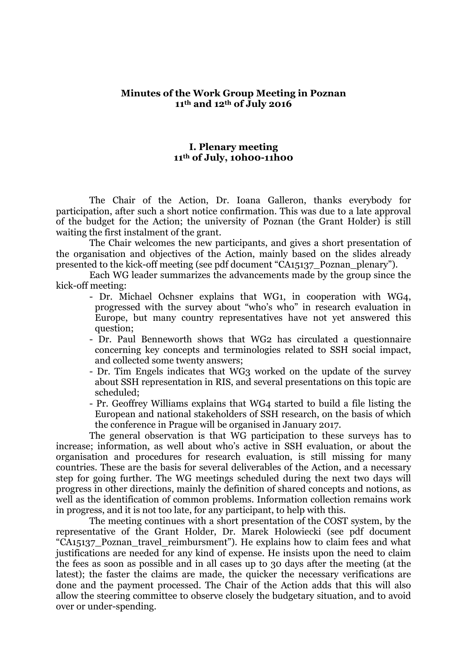#### **Minutes of the Work Group Meeting in Poznan 11th and 12th of July 2016**

### **I. Plenary meeting 11th of July, 10h00-11h00**

The Chair of the Action, Dr. Ioana Galleron, thanks everybody for participation, after such a short notice confirmation. This was due to a late approval of the budget for the Action; the university of Poznan (the Grant Holder) is still waiting the first instalment of the grant.

The Chair welcomes the new participants, and gives a short presentation of the organisation and objectives of the Action, mainly based on the slides already presented to the kick-off meeting (see pdf document "CA15137\_Poznan\_plenary").

Each WG leader summarizes the advancements made by the group since the kick-off meeting:

- Dr. Michael Ochsner explains that WG1, in cooperation with WG4, progressed with the survey about "who's who" in research evaluation in Europe, but many country representatives have not yet answered this question;
- Dr. Paul Benneworth shows that WG2 has circulated a questionnaire concerning key concepts and terminologies related to SSH social impact, and collected some twenty answers;
- Dr. Tim Engels indicates that WG3 worked on the update of the survey about SSH representation in RIS, and several presentations on this topic are scheduled;
- Pr. Geoffrey Williams explains that WG4 started to build a file listing the European and national stakeholders of SSH research, on the basis of which the conference in Prague will be organised in January 2017.

The general observation is that WG participation to these surveys has to increase; information, as well about who's active in SSH evaluation, or about the organisation and procedures for research evaluation, is still missing for many countries. These are the basis for several deliverables of the Action, and a necessary step for going further. The WG meetings scheduled during the next two days will progress in other directions, mainly the definition of shared concepts and notions, as well as the identification of common problems. Information collection remains work in progress, and it is not too late, for any participant, to help with this.

The meeting continues with a short presentation of the COST system, by the representative of the Grant Holder, Dr. Marek Holowiecki (see pdf document "CA15137 Poznan travel reimbursment"). He explains how to claim fees and what justifications are needed for any kind of expense. He insists upon the need to claim the fees as soon as possible and in all cases up to 30 days after the meeting (at the latest); the faster the claims are made, the quicker the necessary verifications are done and the payment processed. The Chair of the Action adds that this will also allow the steering committee to observe closely the budgetary situation, and to avoid over or under-spending.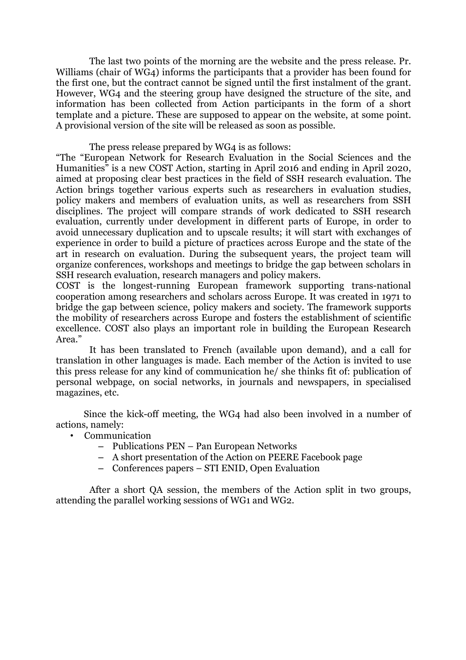The last two points of the morning are the website and the press release. Pr. Williams (chair of WG4) informs the participants that a provider has been found for the first one, but the contract cannot be signed until the first instalment of the grant. However, WG4 and the steering group have designed the structure of the site, and information has been collected from Action participants in the form of a short template and a picture. These are supposed to appear on the website, at some point. A provisional version of the site will be released as soon as possible.

The press release prepared by WG4 is as follows:

"The "European Network for Research Evaluation in the Social Sciences and the Humanities" is a new COST Action, starting in April 2016 and ending in April 2020, aimed at proposing clear best practices in the field of SSH research evaluation. The Action brings together various experts such as researchers in evaluation studies, policy makers and members of evaluation units, as well as researchers from SSH disciplines. The project will compare strands of work dedicated to SSH research evaluation, currently under development in different parts of Europe, in order to avoid unnecessary duplication and to upscale results; it will start with exchanges of experience in order to build a picture of practices across Europe and the state of the art in research on evaluation. During the subsequent years, the project team will organize conferences, workshops and meetings to bridge the gap between scholars in SSH research evaluation, research managers and policy makers.

COST is the longest-running European framework supporting trans-national cooperation among researchers and scholars across Europe. It was created in 1971 to bridge the gap between science, policy makers and society. The framework supports the mobility of researchers across Europe and fosters the establishment of scientific excellence. COST also plays an important role in building the European Research Area."

It has been translated to French (available upon demand), and a call for translation in other languages is made. Each member of the Action is invited to use this press release for any kind of communication he/ she thinks fit of: publication of personal webpage, on social networks, in journals and newspapers, in specialised magazines, etc.

Since the kick-off meeting, the WG4 had also been involved in a number of actions, namely:

- Communication
	- Publications PEN Pan European Networks
	- A short presentation of the Action on PEERE Facebook page
	- Conferences papers STI ENID, Open Evaluation

After a short QA session, the members of the Action split in two groups, attending the parallel working sessions of WG1 and WG2.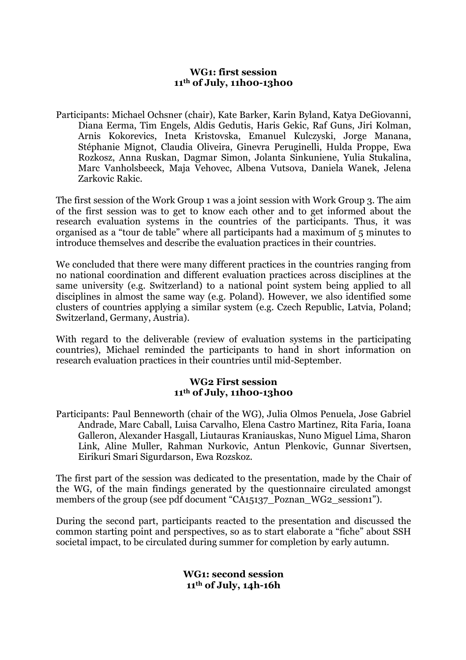### **WG1: first session 11th of July, 11h00-13h00**

Participants: Michael Ochsner (chair), Kate Barker, Karin Byland, Katya DeGiovanni, Diana Eerma, Tim Engels, Aldis Gedutis, Haris Gekic, Raf Guns, Jiri Kolman, Arnis Kokorevics, Ineta Kristovska, Emanuel Kulczyski, Jorge Manana, Stéphanie Mignot, Claudia Oliveira, Ginevra Peruginelli, Hulda Proppe, Ewa Rozkosz, Anna Ruskan, Dagmar Simon, Jolanta Sinkuniene, Yulia Stukalina, Marc Vanholsbeeck, Maja Vehovec, Albena Vutsova, Daniela Wanek, Jelena Zarkovic Rakic.

The first session of the Work Group 1 was a joint session with Work Group 3. The aim of the first session was to get to know each other and to get informed about the research evaluation systems in the countries of the participants. Thus, it was organised as a "tour de table" where all participants had a maximum of 5 minutes to introduce themselves and describe the evaluation practices in their countries.

We concluded that there were many different practices in the countries ranging from no national coordination and different evaluation practices across disciplines at the same university (e.g. Switzerland) to a national point system being applied to all disciplines in almost the same way (e.g. Poland). However, we also identified some clusters of countries applying a similar system (e.g. Czech Republic, Latvia, Poland; Switzerland, Germany, Austria).

With regard to the deliverable (review of evaluation systems in the participating countries), Michael reminded the participants to hand in short information on research evaluation practices in their countries until mid-September.

### **WG2 First session 11th of July, 11h00-13h00**

Participants: Paul Benneworth (chair of the WG), Julia Olmos Penuela, Jose Gabriel Andrade, Marc Caball, Luisa Carvalho, Elena Castro Martinez, Rita Faria, Ioana Galleron, Alexander Hasgall, Liutauras Kraniauskas, Nuno Miguel Lima, Sharon Link, Aline Muller, Rahman Nurkovic, Antun Plenkovic, Gunnar Sivertsen, Eirikuri Smari Sigurdarson, Ewa Rozskoz.

The first part of the session was dedicated to the presentation, made by the Chair of the WG, of the main findings generated by the questionnaire circulated amongst members of the group (see pdf document "CA15137\_Poznan\_WG2\_session1").

During the second part, participants reacted to the presentation and discussed the common starting point and perspectives, so as to start elaborate a "fiche" about SSH societal impact, to be circulated during summer for completion by early autumn.

> **WG1: second session 11th of July, 14h-16h**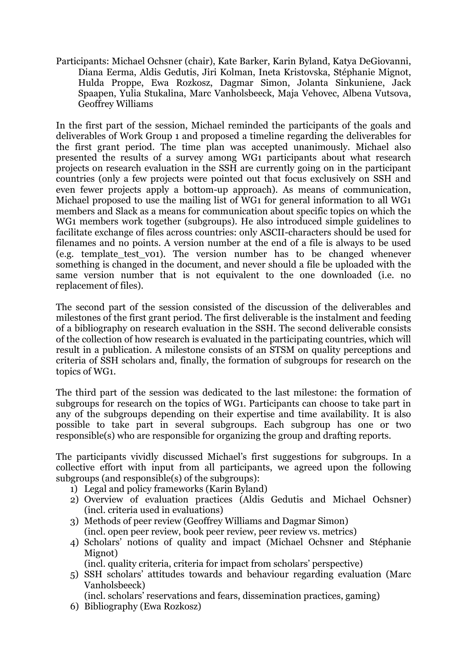Participants: Michael Ochsner (chair), Kate Barker, Karin Byland, Katya DeGiovanni, Diana Eerma, Aldis Gedutis, Jiri Kolman, Ineta Kristovska, Stéphanie Mignot, Hulda Proppe, Ewa Rozkosz, Dagmar Simon, Jolanta Sinkuniene, Jack Spaapen, Yulia Stukalina, Marc Vanholsbeeck, Maja Vehovec, Albena Vutsova, Geoffrey Williams

In the first part of the session, Michael reminded the participants of the goals and deliverables of Work Group 1 and proposed a timeline regarding the deliverables for the first grant period. The time plan was accepted unanimously. Michael also presented the results of a survey among WG1 participants about what research projects on research evaluation in the SSH are currently going on in the participant countries (only a few projects were pointed out that focus exclusively on SSH and even fewer projects apply a bottom-up approach). As means of communication, Michael proposed to use the mailing list of WG1 for general information to all WG1 members and Slack as a means for communication about specific topics on which the WG1 members work together (subgroups). He also introduced simple guidelines to facilitate exchange of files across countries: only ASCII-characters should be used for filenames and no points. A version number at the end of a file is always to be used (e.g. template\_test\_v01). The version number has to be changed whenever something is changed in the document, and never should a file be uploaded with the same version number that is not equivalent to the one downloaded (i.e. no replacement of files).

The second part of the session consisted of the discussion of the deliverables and milestones of the first grant period. The first deliverable is the instalment and feeding of a bibliography on research evaluation in the SSH. The second deliverable consists of the collection of how research is evaluated in the participating countries, which will result in a publication. A milestone consists of an STSM on quality perceptions and criteria of SSH scholars and, finally, the formation of subgroups for research on the topics of WG1.

The third part of the session was dedicated to the last milestone: the formation of subgroups for research on the topics of WG1. Participants can choose to take part in any of the subgroups depending on their expertise and time availability. It is also possible to take part in several subgroups. Each subgroup has one or two responsible(s) who are responsible for organizing the group and drafting reports.

The participants vividly discussed Michael's first suggestions for subgroups. In a collective effort with input from all participants, we agreed upon the following subgroups (and responsible(s) of the subgroups):

- 1) Legal and policy frameworks (Karin Byland)
- 2) Overview of evaluation practices (Aldis Gedutis and Michael Ochsner) (incl. criteria used in evaluations)
- 3) Methods of peer review (Geoffrey Williams and Dagmar Simon) (incl. open peer review, book peer review, peer review vs. metrics)
- 4) Scholars' notions of quality and impact (Michael Ochsner and Stéphanie Mignot)

(incl. quality criteria, criteria for impact from scholars' perspective)

5) SSH scholars' attitudes towards and behaviour regarding evaluation (Marc Vanholsbeeck)

(incl. scholars' reservations and fears, dissemination practices, gaming)

6) Bibliography (Ewa Rozkosz)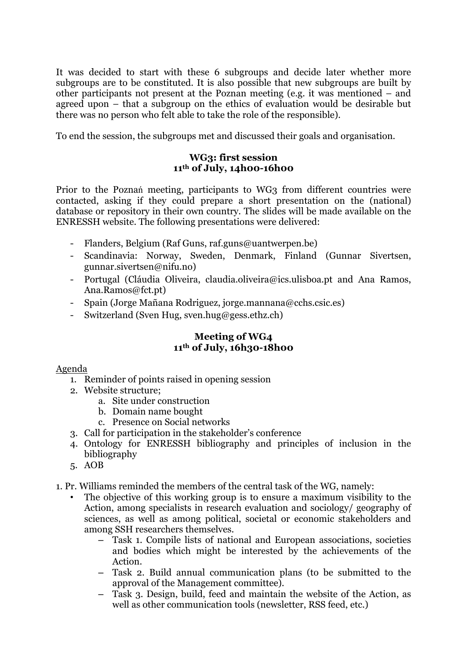It was decided to start with these 6 subgroups and decide later whether more subgroups are to be constituted. It is also possible that new subgroups are built by other participants not present at the Poznan meeting (e.g. it was mentioned – and agreed upon – that a subgroup on the ethics of evaluation would be desirable but there was no person who felt able to take the role of the responsible).

To end the session, the subgroups met and discussed their goals and organisation.

## **WG3: first session 11th of July, 14h00-16h00**

Prior to the Poznań meeting, participants to WG3 from different countries were contacted, asking if they could prepare a short presentation on the (national) database or repository in their own country. The slides will be made available on the ENRESSH website. The following presentations were delivered:

- Flanders, Belgium (Raf Guns, raf.guns@uantwerpen.be)
- Scandinavia: Norway, Sweden, Denmark, Finland (Gunnar Sivertsen, gunnar.sivertsen@nifu.no)
- Portugal (Cláudia Oliveira, claudia.oliveira@ics.ulisboa.pt and Ana Ramos, Ana.Ramos@fct.pt)
- Spain (Jorge Mañana Rodriguez, jorge.mannana@cchs.csic.es)
- Switzerland (Sven Hug, sven.hug@gess.ethz.ch)

# **Meeting of WG4 11th of July, 16h30-18h00**

## Agenda

- 1. Reminder of points raised in opening session
- 2. Website structure;
	- a. Site under construction
	- b. Domain name bought
	- c. Presence on Social networks
- 3. Call for participation in the stakeholder's conference
- 4. Ontology for ENRESSH bibliography and principles of inclusion in the bibliography
- 5. AOB

1. Pr. Williams reminded the members of the central task of the WG, namely:

- The objective of this working group is to ensure a maximum visibility to the Action, among specialists in research evaluation and sociology/ geography of sciences, as well as among political, societal or economic stakeholders and among SSH researchers themselves.
	- Task 1. Compile lists of national and European associations, societies and bodies which might be interested by the achievements of the Action.
	- Task 2. Build annual communication plans (to be submitted to the approval of the Management committee).
	- Task 3. Design, build, feed and maintain the website of the Action, as well as other communication tools (newsletter, RSS feed, etc.)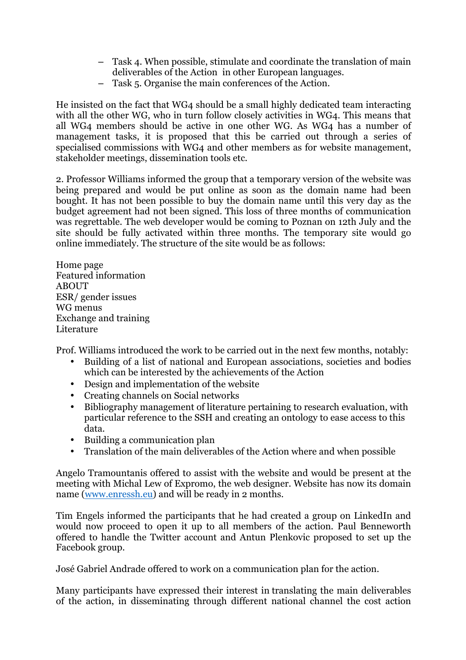- Task 4. When possible, stimulate and coordinate the translation of main deliverables of the Action in other European languages.
- Task 5. Organise the main conferences of the Action.

He insisted on the fact that WG4 should be a small highly dedicated team interacting with all the other WG, who in turn follow closely activities in WG4. This means that all WG4 members should be active in one other WG. As WG4 has a number of management tasks, it is proposed that this be carried out through a series of specialised commissions with WG4 and other members as for website management, stakeholder meetings, dissemination tools etc.

2. Professor Williams informed the group that a temporary version of the website was being prepared and would be put online as soon as the domain name had been bought. It has not been possible to buy the domain name until this very day as the budget agreement had not been signed. This loss of three months of communication was regrettable. The web developer would be coming to Poznan on 12th July and the site should be fully activated within three months. The temporary site would go online immediately. The structure of the site would be as follows:

Home page Featured information ABOUT ESR/ gender issues WG menus Exchange and training Literature

Prof. Williams introduced the work to be carried out in the next few months, notably:

- Building of a list of national and European associations, societies and bodies which can be interested by the achievements of the Action
- Design and implementation of the website
- Creating channels on Social networks
- Bibliography management of literature pertaining to research evaluation, with particular reference to the SSH and creating an ontology to ease access to this data.
- Building a communication plan
- Translation of the main deliverables of the Action where and when possible

Angelo Tramountanis offered to assist with the website and would be present at the meeting with Michal Lew of Expromo, the web designer. Website has now its domain name (www.enressh.eu) and will be ready in 2 months.

Tim Engels informed the participants that he had created a group on LinkedIn and would now proceed to open it up to all members of the action. Paul Benneworth offered to handle the Twitter account and Antun Plenkovic proposed to set up the Facebook group.

José Gabriel Andrade offered to work on a communication plan for the action.

Many participants have expressed their interest in translating the main deliverables of the action, in disseminating through different national channel the cost action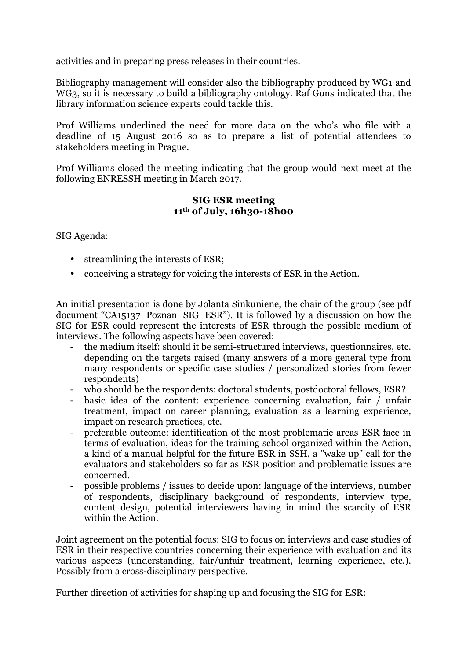activities and in preparing press releases in their countries.

Bibliography management will consider also the bibliography produced by WG1 and WG3, so it is necessary to build a bibliography ontology. Raf Guns indicated that the library information science experts could tackle this.

Prof Williams underlined the need for more data on the who's who file with a deadline of 15 August 2016 so as to prepare a list of potential attendees to stakeholders meeting in Prague.

Prof Williams closed the meeting indicating that the group would next meet at the following ENRESSH meeting in March 2017.

### **SIG ESR meeting 11th of July, 16h30-18h00**

SIG Agenda:

- streamlining the interests of ESR;
- conceiving a strategy for voicing the interests of ESR in the Action.

An initial presentation is done by Jolanta Sinkuniene, the chair of the group (see pdf document "CA15137 Poznan SIG ESR"). It is followed by a discussion on how the SIG for ESR could represent the interests of ESR through the possible medium of interviews. The following aspects have been covered:

- the medium itself: should it be semi-structured interviews, questionnaires, etc. depending on the targets raised (many answers of a more general type from many respondents or specific case studies / personalized stories from fewer respondents)
- who should be the respondents: doctoral students, postdoctoral fellows, ESR?
- basic idea of the content: experience concerning evaluation, fair / unfair treatment, impact on career planning, evaluation as a learning experience, impact on research practices, etc.
- preferable outcome: identification of the most problematic areas ESR face in terms of evaluation, ideas for the training school organized within the Action, a kind of a manual helpful for the future ESR in SSH, a "wake up" call for the evaluators and stakeholders so far as ESR position and problematic issues are concerned.
- possible problems / issues to decide upon: language of the interviews, number of respondents, disciplinary background of respondents, interview type, content design, potential interviewers having in mind the scarcity of ESR within the Action.

Joint agreement on the potential focus: SIG to focus on interviews and case studies of ESR in their respective countries concerning their experience with evaluation and its various aspects (understanding, fair/unfair treatment, learning experience, etc.). Possibly from a cross-disciplinary perspective.

Further direction of activities for shaping up and focusing the SIG for ESR: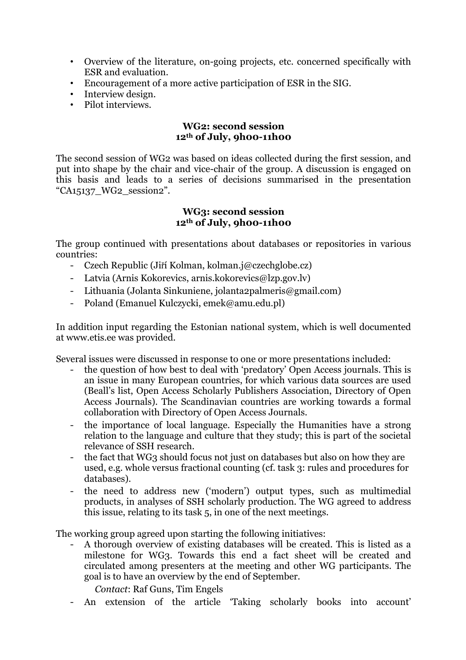- Overview of the literature, on-going projects, etc. concerned specifically with ESR and evaluation.
- Encouragement of a more active participation of ESR in the SIG.
- Interview design.
- Pilot interviews.

### **WG2: second session 12th of July, 9h00-11h00**

The second session of WG2 was based on ideas collected during the first session, and put into shape by the chair and vice-chair of the group. A discussion is engaged on this basis and leads to a series of decisions summarised in the presentation "CA15137\_WG2\_session2".

### **WG3: second session 12th of July, 9h00-11h00**

The group continued with presentations about databases or repositories in various countries:

- Czech Republic (Jiří Kolman, kolman.j@czechglobe.cz)
- Latvia (Arnis Kokorevics, arnis.kokorevics@lzp.gov.lv)
- Lithuania (Jolanta Sinkuniene, jolanta2palmeris@gmail.com)
- Poland (Emanuel Kulczycki, emek@amu.edu.pl)

In addition input regarding the Estonian national system, which is well documented at www.etis.ee was provided.

Several issues were discussed in response to one or more presentations included:

- the question of how best to deal with 'predatory' Open Access journals. This is an issue in many European countries, for which various data sources are used (Beall's list, Open Access Scholarly Publishers Association, Directory of Open Access Journals). The Scandinavian countries are working towards a formal collaboration with Directory of Open Access Journals.
- the importance of local language. Especially the Humanities have a strong relation to the language and culture that they study; this is part of the societal relevance of SSH research.
- the fact that WG3 should focus not just on databases but also on how they are used, e.g. whole versus fractional counting (cf. task 3: rules and procedures for databases).
- the need to address new ('modern') output types, such as multimedial products, in analyses of SSH scholarly production. The WG agreed to address this issue, relating to its task 5, in one of the next meetings.

The working group agreed upon starting the following initiatives:

- A thorough overview of existing databases will be created. This is listed as a milestone for WG3. Towards this end a fact sheet will be created and circulated among presenters at the meeting and other WG participants. The goal is to have an overview by the end of September.

*Contact*: Raf Guns, Tim Engels

- An extension of the article 'Taking scholarly books into account'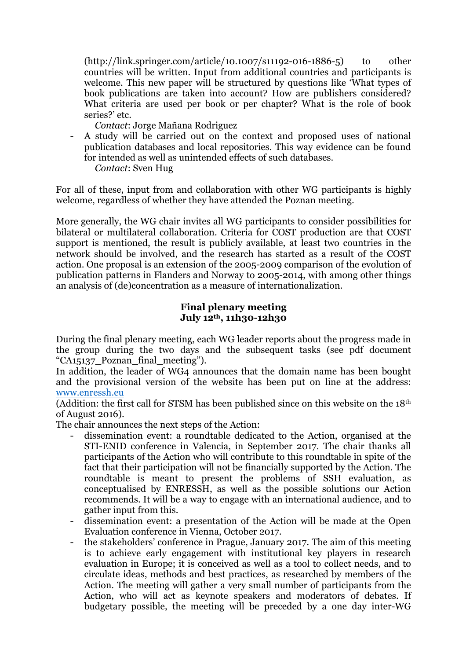(http://link.springer.com/article/10.1007/s11192-016-1886-5) to other countries will be written. Input from additional countries and participants is welcome. This new paper will be structured by questions like 'What types of book publications are taken into account? How are publishers considered? What criteria are used per book or per chapter? What is the role of book series?' etc.

*Contact*: Jorge Mañana Rodriguez

- A study will be carried out on the context and proposed uses of national publication databases and local repositories. This way evidence can be found for intended as well as unintended effects of such databases. *Contact*: Sven Hug

For all of these, input from and collaboration with other WG participants is highly welcome, regardless of whether they have attended the Poznan meeting.

More generally, the WG chair invites all WG participants to consider possibilities for bilateral or multilateral collaboration. Criteria for COST production are that COST support is mentioned, the result is publicly available, at least two countries in the network should be involved, and the research has started as a result of the COST action. One proposal is an extension of the 2005-2009 comparison of the evolution of publication patterns in Flanders and Norway to 2005-2014, with among other things an analysis of (de)concentration as a measure of internationalization.

### **Final plenary meeting July 12th, 11h30-12h30**

During the final plenary meeting, each WG leader reports about the progress made in the group during the two days and the subsequent tasks (see pdf document "CA15137 Poznan final meeting").

In addition, the leader of WG4 announces that the domain name has been bought and the provisional version of the website has been put on line at the address: www.enressh.eu

(Addition: the first call for STSM has been published since on this website on the 18th of August 2016).

The chair announces the next steps of the Action:

- dissemination event: a roundtable dedicated to the Action, organised at the STI-ENID conference in Valencia, in September 2017. The chair thanks all participants of the Action who will contribute to this roundtable in spite of the fact that their participation will not be financially supported by the Action. The roundtable is meant to present the problems of SSH evaluation, as conceptualised by ENRESSH, as well as the possible solutions our Action recommends. It will be a way to engage with an international audience, and to gather input from this.
- dissemination event: a presentation of the Action will be made at the Open Evaluation conference in Vienna, October 2017.
- the stakeholders' conference in Prague, January 2017. The aim of this meeting is to achieve early engagement with institutional key players in research evaluation in Europe; it is conceived as well as a tool to collect needs, and to circulate ideas, methods and best practices, as researched by members of the Action. The meeting will gather a very small number of participants from the Action, who will act as keynote speakers and moderators of debates. If budgetary possible, the meeting will be preceded by a one day inter-WG